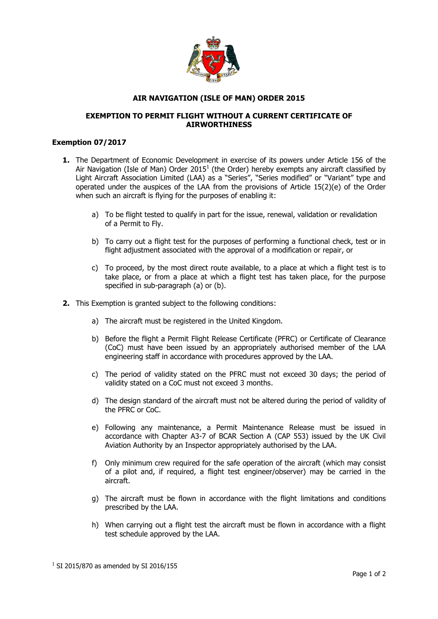

## **AIR NAVIGATION (ISLE OF MAN) ORDER 2015**

## **EXEMPTION TO PERMIT FLIGHT WITHOUT A CURRENT CERTIFICATE OF AIRWORTHINESS**

## **Exemption 07/2017**

- **1.** The Department of Economic Development in exercise of its powers under Article 156 of the Air Navigation (Isle of Man) Order 2015<sup>1</sup> (the Order) hereby exempts any aircraft classified by Light Aircraft Association Limited (LAA) as a "Series", "Series modified" or "Variant" type and operated under the auspices of the LAA from the provisions of Article 15(2)(e) of the Order when such an aircraft is flying for the purposes of enabling it:
	- a) To be flight tested to qualify in part for the issue, renewal, validation or revalidation of a Permit to Fly.
	- b) To carry out a flight test for the purposes of performing a functional check, test or in flight adjustment associated with the approval of a modification or repair, or
	- c) To proceed, by the most direct route available, to a place at which a flight test is to take place, or from a place at which a flight test has taken place, for the purpose specified in sub-paragraph (a) or (b).
- **2.** This Exemption is granted subject to the following conditions:
	- a) The aircraft must be registered in the United Kingdom.
	- b) Before the flight a Permit Flight Release Certificate (PFRC) or Certificate of Clearance (CoC) must have been issued by an appropriately authorised member of the LAA engineering staff in accordance with procedures approved by the LAA.
	- c) The period of validity stated on the PFRC must not exceed 30 days; the period of validity stated on a CoC must not exceed 3 months.
	- d) The design standard of the aircraft must not be altered during the period of validity of the PFRC or CoC.
	- e) Following any maintenance, a Permit Maintenance Release must be issued in accordance with Chapter A3-7 of BCAR Section A (CAP 553) issued by the UK Civil Aviation Authority by an Inspector appropriately authorised by the LAA.
	- f) Only minimum crew required for the safe operation of the aircraft (which may consist of a pilot and, if required, a flight test engineer/observer) may be carried in the aircraft.
	- g) The aircraft must be flown in accordance with the flight limitations and conditions prescribed by the LAA.
	- h) When carrying out a flight test the aircraft must be flown in accordance with a flight test schedule approved by the LAA.